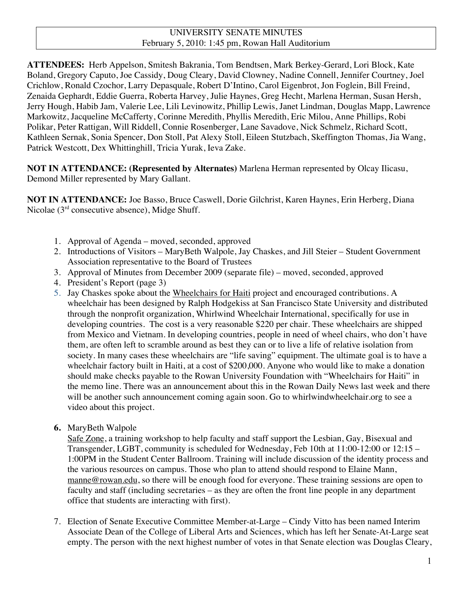# UNIVERSITY SENATE MINUTES February 5, 2010: 1:45 pm, Rowan Hall Auditorium

**ATTENDEES:** Herb Appelson, Smitesh Bakrania, Tom Bendtsen, Mark Berkey-Gerard, Lori Block, Kate Boland, Gregory Caputo, Joe Cassidy, Doug Cleary, David Clowney, Nadine Connell, Jennifer Courtney, Joel Crichlow, Ronald Czochor, Larry Depasquale, Robert D'Intino, Carol Eigenbrot, Jon Foglein, Bill Freind, Zenaida Gephardt, Eddie Guerra, Roberta Harvey, Julie Haynes, Greg Hecht, Marlena Herman, Susan Hersh, Jerry Hough, Habib Jam, Valerie Lee, Lili Levinowitz, Phillip Lewis, Janet Lindman, Douglas Mapp, Lawrence Markowitz, Jacqueline McCafferty, Corinne Meredith, Phyllis Meredith, Eric Milou, Anne Phillips, Robi Polikar, Peter Rattigan, Will Riddell, Connie Rosenberger, Lane Savadove, Nick Schmelz, Richard Scott, Kathleen Sernak, Sonia Spencer, Don Stoll, Pat Alexy Stoll, Eileen Stutzbach, Skeffington Thomas, Jia Wang, Patrick Westcott, Dex Whittinghill, Tricia Yurak, Ieva Zake.

**NOT IN ATTENDANCE: (Represented by Alternates)** Marlena Herman represented by Olcay Ilicasu, Demond Miller represented by Mary Gallant.

**NOT IN ATTENDANCE:** Joe Basso, Bruce Caswell, Dorie Gilchrist, Karen Haynes, Erin Herberg, Diana Nicolae  $(3<sup>rd</sup>$  consecutive absence), Midge Shuff.

- 1. Approval of Agenda moved, seconded, approved
- 2. Introductions of Visitors MaryBeth Walpole, Jay Chaskes, and Jill Steier Student Government Association representative to the Board of Trustees
- 3. Approval of Minutes from December 2009 (separate file) moved, seconded, approved
- 4. President's Report (page 3)
- 5. Jay Chaskes spoke about the Wheelchairs for Haiti project and encouraged contributions. A wheelchair has been designed by Ralph Hodgekiss at San Francisco State University and distributed through the nonprofit organization, Whirlwind Wheelchair International, specifically for use in developing countries. The cost is a very reasonable \$220 per chair. These wheelchairs are shipped from Mexico and Vietnam. In developing countries, people in need of wheel chairs, who don't have them, are often left to scramble around as best they can or to live a life of relative isolation from society. In many cases these wheelchairs are "life saving" equipment. The ultimate goal is to have a wheelchair factory built in Haiti, at a cost of \$200,000. Anyone who would like to make a donation should make checks payable to the Rowan University Foundation with "Wheelchairs for Haiti" in the memo line. There was an announcement about this in the Rowan Daily News last week and there will be another such announcement coming again soon. Go to whirlwindwheelchair.org to see a video about this project.
- **6.** MaryBeth Walpole

Safe Zone, a training workshop to help faculty and staff support the Lesbian, Gay, Bisexual and Transgender, LGBT, community is scheduled for Wednesday, Feb 10th at 11:00-12:00 or 12:15 – 1:00PM in the Student Center Ballroom. Training will include discussion of the identity process and the various resources on campus. Those who plan to attend should respond to Elaine Mann, manne@rowan.edu, so there will be enough food for everyone. These training sessions are open to faculty and staff (including secretaries – as they are often the front line people in any department office that students are interacting with first).

7. Election of Senate Executive Committee Member-at-Large – Cindy Vitto has been named Interim Associate Dean of the College of Liberal Arts and Sciences, which has left her Senate-At-Large seat empty. The person with the next highest number of votes in that Senate election was Douglas Cleary,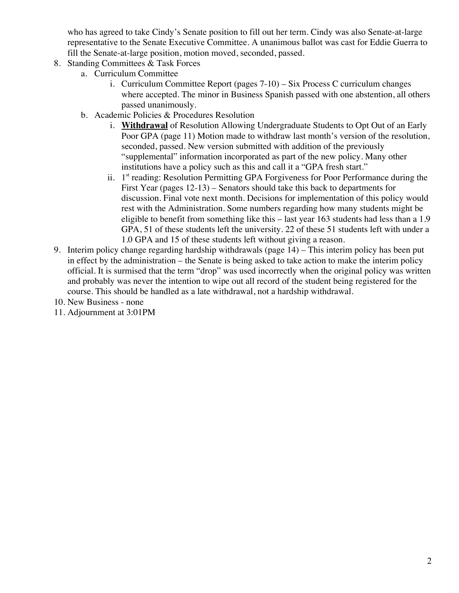who has agreed to take Cindy's Senate position to fill out her term. Cindy was also Senate-at-large representative to the Senate Executive Committee. A unanimous ballot was cast for Eddie Guerra to fill the Senate-at-large position, motion moved, seconded, passed.

- 8. Standing Committees & Task Forces
	- a. Curriculum Committee
		- i. Curriculum Committee Report (pages 7-10) Six Process C curriculum changes where accepted. The minor in Business Spanish passed with one abstention, all others passed unanimously.
	- b. Academic Policies & Procedures Resolution
		- i. **Withdrawal** of Resolution Allowing Undergraduate Students to Opt Out of an Early Poor GPA (page 11) Motion made to withdraw last month's version of the resolution, seconded, passed. New version submitted with addition of the previously "supplemental" information incorporated as part of the new policy. Many other institutions have a policy such as this and call it a "GPA fresh start."
		- ii. 1<sup>st</sup> reading: Resolution Permitting GPA Forgiveness for Poor Performance during the First Year (pages 12-13) – Senators should take this back to departments for discussion. Final vote next month. Decisions for implementation of this policy would rest with the Administration. Some numbers regarding how many students might be eligible to benefit from something like this – last year 163 students had less than a 1.9 GPA, 51 of these students left the university. 22 of these 51 students left with under a 1.0 GPA and 15 of these students left without giving a reason.
- 9. Interim policy change regarding hardship withdrawals (page 14) This interim policy has been put in effect by the administration – the Senate is being asked to take action to make the interim policy official. It is surmised that the term "drop" was used incorrectly when the original policy was written and probably was never the intention to wipe out all record of the student being registered for the course. This should be handled as a late withdrawal, not a hardship withdrawal.
- 10. New Business none
- 11. Adjournment at 3:01PM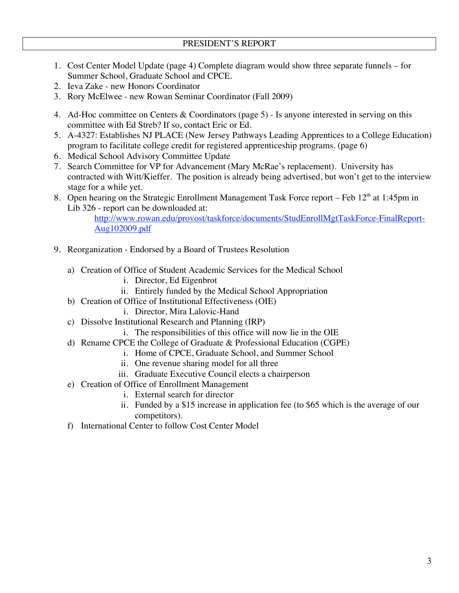- 1. Cost Center Model Update (page 4) Complete diagram would show three separate funnels for Summer School, Graduate School and CPCE.
- 2. Ieva Zake new Honors Coordinator
- 3. Rory McElwee new Rowan Seminar Coordinator (Fall 2009)
- 4. Ad-Hoc committee on Centers & Coordinators (page 5) Is anyone interested in serving on this committee with Ed Streb? If so, contact Eric or Ed.
- 5. A-4327: Establishes NJ PLACE (New Jersey Pathways Leading Apprentices to a College Education) program to facilitate college credit for registered apprenticeship programs. (page 6)
- 6. Medical School Advisory Committee Update
- 7. Search Committee for VP for Advancement (Mary McRae's replacement). University has contracted with Witt/Kieffer. The position is already being advertised, but won't get to the interview stage for a while yet.
- 8. Open hearing on the Strategic Enrollment Management Task Force report Feb 12<sup>th</sup> at 1:45pm in Lib 326 - report can be downloaded at:

http://www.rowan.edu/provost/taskforce/documents/StudEnrollMgtTaskForce-FinalReport-Aug102009.pdf

- 9. Reorganization Endorsed by a Board of Trustees Resolution
	- a) Creation of Office of Student Academic Services for the Medical School
		- i. Director, Ed Eigenbrot
		- ii. Entirely funded by the Medical School Appropriation
	- b) Creation of Office of Institutional Effectiveness (OIE)
		- i. Director, Mira Lalovic-Hand
	- c) Dissolve Institutional Research and Planning (IRP)
		- i. The responsibilities of this office will now lie in the OIE
	- d) Rename CPCE the College of Graduate & Professional Education (CGPE)
		- i. Home of CPCE, Graduate School, and Summer School
		- ii. One revenue sharing model for all three
		- iii. Graduate Executive Council elects a chairperson
	- e) Creation of Office of Enrollment Management
		- i. External search for director
		- ii. Funded by a \$15 increase in application fee (to \$65 which is the average of our competitors).
	- f) International Center to follow Cost Center Model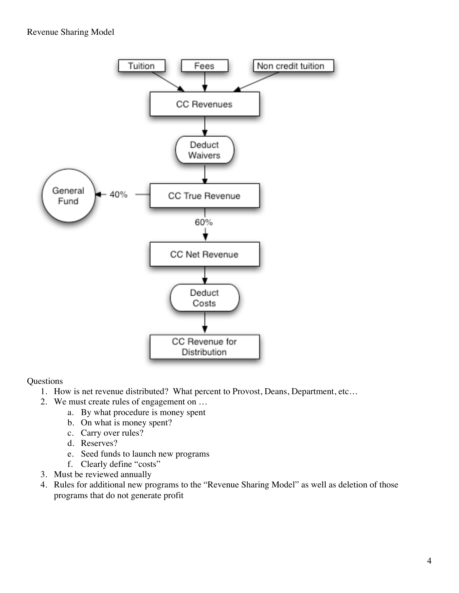# Revenue Sharing Model



### **Questions**

- 1. How is net revenue distributed? What percent to Provost, Deans, Department, etc…
- 2. We must create rules of engagement on …
	- a. By what procedure is money spent
	- b. On what is money spent?
	- c. Carry over rules?
	- d. Reserves?
	- e. Seed funds to launch new programs
	- f. Clearly define "costs"
- 3. Must be reviewed annually
- 4. Rules for additional new programs to the "Revenue Sharing Model" as well as deletion of those programs that do not generate profit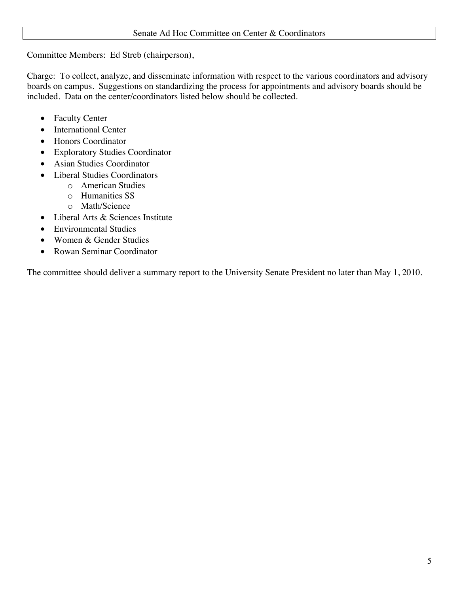# Senate Ad Hoc Committee on Center & Coordinators

Committee Members: Ed Streb (chairperson),

Charge: To collect, analyze, and disseminate information with respect to the various coordinators and advisory boards on campus. Suggestions on standardizing the process for appointments and advisory boards should be included. Data on the center/coordinators listed below should be collected.

- Faculty Center
- International Center
- Honors Coordinator
- ∑ Exploratory Studies Coordinator
- Asian Studies Coordinator
- Liberal Studies Coordinators
	- o American Studies
	- o Humanities SS
	- o Math/Science
- ∑ Liberal Arts & Sciences Institute
- Environmental Studies
- ∑ Women & Gender Studies
- ∑ Rowan Seminar Coordinator

The committee should deliver a summary report to the University Senate President no later than May 1, 2010.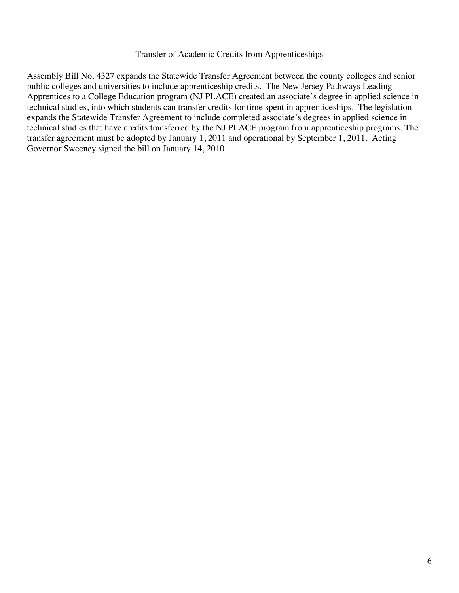### Transfer of Academic Credits from Apprenticeships

Assembly Bill No. 4327 expands the Statewide Transfer Agreement between the county colleges and senior public colleges and universities to include apprenticeship credits. The New Jersey Pathways Leading Apprentices to a College Education program (NJ PLACE) created an associate's degree in applied science in technical studies, into which students can transfer credits for time spent in apprenticeships. The legislation expands the Statewide Transfer Agreement to include completed associate's degrees in applied science in technical studies that have credits transferred by the NJ PLACE program from apprenticeship programs. The transfer agreement must be adopted by January 1, 2011 and operational by September 1, 2011. Acting Governor Sweeney signed the bill on January 14, 2010.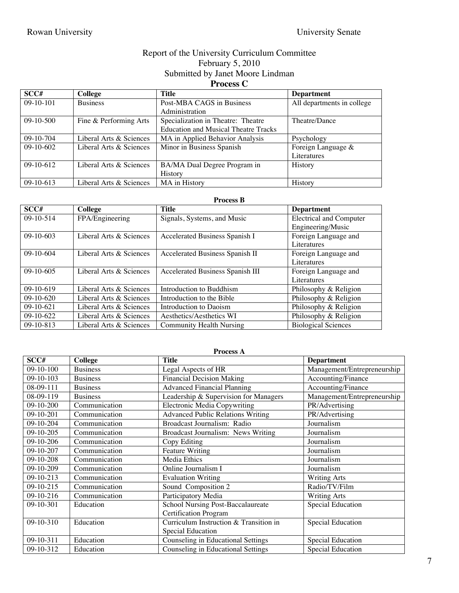# Report of the University Curriculum Committee February 5, 2010 Submitted by Janet Moore Lindman

# **Process C**

| SCC#        | College                 | <b>Title</b>                                | <b>Department</b>          |
|-------------|-------------------------|---------------------------------------------|----------------------------|
| $09-10-101$ | <b>Business</b>         | Post-MBA CAGS in Business                   | All departments in college |
|             |                         | Administration                              |                            |
| $09-10-500$ | Fine & Performing Arts  | Specialization in Theatre: Theatre          | Theatre/Dance              |
|             |                         | <b>Education and Musical Theatre Tracks</b> |                            |
| $09-10-704$ | Liberal Arts & Sciences | MA in Applied Behavior Analysis             | Psychology                 |
| $09-10-602$ | Liberal Arts & Sciences | Minor in Business Spanish                   | Foreign Language &         |
|             |                         |                                             | Literatures                |
| $09-10-612$ | Liberal Arts & Sciences | BA/MA Dual Degree Program in                | History                    |
|             |                         | <b>History</b>                              |                            |
| $09-10-613$ | Liberal Arts & Sciences | MA in History                               | History                    |

#### **Process B**

| SCC#        | College                 | Title                            | <b>Department</b>              |
|-------------|-------------------------|----------------------------------|--------------------------------|
| $09-10-514$ | FPA/Engineering         | Signals, Systems, and Music      | <b>Electrical and Computer</b> |
|             |                         |                                  | Engineering/Music              |
| $09-10-603$ | Liberal Arts & Sciences | Accelerated Business Spanish I   | Foreign Language and           |
|             |                         |                                  | Literatures                    |
| $09-10-604$ | Liberal Arts & Sciences | Accelerated Business Spanish II  | Foreign Language and           |
|             |                         |                                  | Literatures                    |
| $09-10-605$ | Liberal Arts & Sciences | Accelerated Business Spanish III | Foreign Language and           |
|             |                         |                                  | Literatures                    |
| $09-10-619$ | Liberal Arts & Sciences | Introduction to Buddhism         | Philosophy & Religion          |
| $09-10-620$ | Liberal Arts & Sciences | Introduction to the Bible        | Philosophy & Religion          |
| $09-10-621$ | Liberal Arts & Sciences | Introduction to Daoism           | Philosophy & Religion          |
| $09-10-622$ | Liberal Arts & Sciences | Aesthetics/Aesthetics WI         | Philosophy & Religion          |
| $09-10-813$ | Liberal Arts & Sciences | <b>Community Health Nursing</b>  | <b>Biological Sciences</b>     |

| <b>Process A</b> |                 |                                          |                             |
|------------------|-----------------|------------------------------------------|-----------------------------|
| SCC#             | College         | <b>Title</b>                             | <b>Department</b>           |
| $09-10-100$      | <b>Business</b> | Legal Aspects of HR                      | Management/Entrepreneurship |
| 09-10-103        | <b>Business</b> | <b>Financial Decision Making</b>         | Accounting/Finance          |
| 08-09-111        | <b>Business</b> | <b>Advanced Financial Planning</b>       | Accounting/Finance          |
| 08-09-119        | <b>Business</b> | Leadership & Supervision for Managers    | Management/Entrepreneurship |
| 09-10-200        | Communication   | <b>Electronic Media Copywriting</b>      | PR/Advertising              |
| 09-10-201        | Communication   | <b>Advanced Public Relations Writing</b> | PR/Advertising              |
| 09-10-204        | Communication   | Broadcast Journalism: Radio              | Journalism                  |
| 09-10-205        | Communication   | Broadcast Journalism: News Writing       | Journalism                  |
| $09-10-206$      | Communication   | Copy Editing                             | Journalism                  |
| 09-10-207        | Communication   | Feature Writing                          | Journalism                  |
| 09-10-208        | Communication   | Media Ethics                             | Journalism                  |
| 09-10-209        | Communication   | Online Journalism I                      | Journalism                  |
| 09-10-213        | Communication   | <b>Evaluation Writing</b>                | <b>Writing Arts</b>         |
| $09-10-215$      | Communication   | Sound Composition 2                      | Radio/TV/Film               |
| 09-10-216        | Communication   | Participatory Media                      | <b>Writing Arts</b>         |
| 09-10-301        | Education       | School Nursing Post-Baccalaureate        | Special Education           |
|                  |                 | <b>Certification Program</b>             |                             |
| 09-10-310        | Education       | Curriculum Instruction & Transition in   | Special Education           |
|                  |                 | Special Education                        |                             |
| 09-10-311        | Education       | Counseling in Educational Settings       | Special Education           |
| 09-10-312        | Education       | Counseling in Educational Settings       | Special Education           |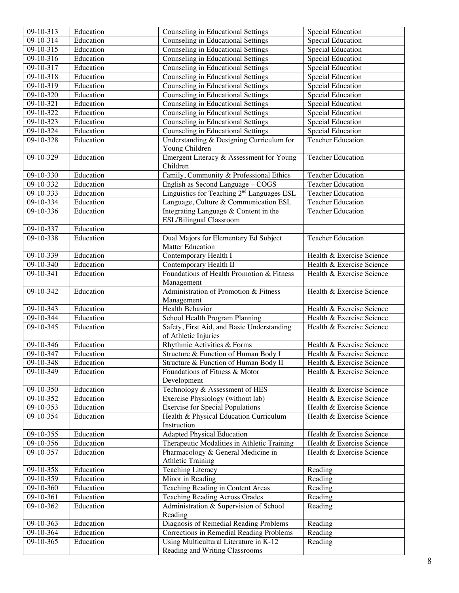| $09-10-313$            | Education | Counseling in Educational Settings                     | Special Education           |
|------------------------|-----------|--------------------------------------------------------|-----------------------------|
| $09-10-314$            | Education | <b>Counseling in Educational Settings</b>              | <b>Special Education</b>    |
| 09-10-315              | Education | Counseling in Educational Settings                     | Special Education           |
| 09-10-316              | Education | Counseling in Educational Settings                     | <b>Special Education</b>    |
| 09-10-317              | Education | Counseling in Educational Settings                     | Special Education           |
| 09-10-318              | Education | Counseling in Educational Settings                     | <b>Special Education</b>    |
| 09-10-319              | Education | Counseling in Educational Settings                     | Special Education           |
| $09-10-320$            | Education | Counseling in Educational Settings                     | Special Education           |
| $09-10-321$            | Education | Counseling in Educational Settings                     | <b>Special Education</b>    |
| 09-10-322              | Education | Counseling in Educational Settings                     | Special Education           |
| 09-10-323              | Education | Counseling in Educational Settings                     | <b>Special Education</b>    |
| 09-10-324              | Education | Counseling in Educational Settings                     | <b>Special Education</b>    |
| 09-10-328              | Education | Understanding & Designing Curriculum for               | <b>Teacher Education</b>    |
|                        |           | Young Children                                         |                             |
| 09-10-329              | Education | Emergent Literacy & Assessment for Young               | <b>Teacher Education</b>    |
|                        |           | Children                                               |                             |
| 09-10-330              | Education | Family, Community & Professional Ethics                | <b>Teacher Education</b>    |
| 09-10-332              | Education | English as Second Language - COGS                      | <b>Teacher Education</b>    |
| 09-10-333              | Education | Linguistics for Teaching 2 <sup>nd</sup> Languages ESL | <b>Teacher Education</b>    |
| 09-10-334              | Education | Language, Culture & Communication ESL                  | <b>Teacher Education</b>    |
| 09-10-336              | Education | Integrating Language & Content in the                  | <b>Teacher Education</b>    |
|                        |           | <b>ESL/Bilingual Classroom</b>                         |                             |
| 09-10-337              | Education |                                                        |                             |
| $09-10-338$            | Education | Dual Majors for Elementary Ed Subject                  | <b>Teacher Education</b>    |
|                        |           | <b>Matter Education</b>                                |                             |
| 09-10-339              | Education | Contemporary Health I                                  | Health & Exercise Science   |
| 09-10-340              | Education | Contemporary Health II                                 | Health & Exercise Science   |
| 09-10-341              | Education | Foundations of Health Promotion & Fitness              | Health & Exercise Science   |
|                        |           | Management                                             |                             |
| 09-10-342              | Education | Administration of Promotion & Fitness                  | Health & Exercise Science   |
|                        |           | Management                                             |                             |
| 09-10-343              | Education | Health Behavior                                        | Health & Exercise Science   |
| 09-10-344              | Education | School Health Program Planning                         | Health & Exercise Science   |
| $09-10-345$            | Education | Safety, First Aid, and Basic Understanding             | Health & Exercise Science   |
|                        |           | of Athletic Injuries                                   |                             |
| 09-10-346              | Education | Rhythmic Activities & Forms                            | Health & Exercise Science   |
| 09-10-347              | Education | Structure & Function of Human Body I                   | Health & Exercise Science   |
| 09-10-348              | Education | Structure & Function of Human Body II                  | Health & Exercise Science   |
| 09-10-349              | Education | Foundations of Fitness & Motor                         | Health & Exercise Science   |
|                        |           | Development                                            |                             |
| 09-10-350              | Education | Technology & Assessment of HES                         | Health & Exercise Science   |
| 09-10-352              | Education | Exercise Physiology (without lab)                      | Health & Exercise Science   |
| 09-10-353              | Education | <b>Exercise for Special Populations</b>                | Health & Exercise Science   |
| 09-10-354              | Education | Health & Physical Education Curriculum                 | Health & Exercise Science   |
|                        |           | Instruction                                            |                             |
| 09-10-355              | Education | <b>Adapted Physical Education</b>                      | Health & Exercise Science   |
| $09-10-356$            | Education | Therapeutic Modalities in Athletic Training            | Health & Exercise Science   |
| 09-10-357              | Education | Pharmacology & General Medicine in                     | Health & Exercise Science   |
|                        |           | <b>Athletic Training</b>                               |                             |
| 09-10-358              | Education | Teaching Literacy                                      | Reading                     |
| 09-10-359              | Education | Minor in Reading                                       | Reading                     |
| 09-10-360              | Education | Teaching Reading in Content Areas                      | Reading                     |
| 09-10-361              | Education | Teaching Reading Across Grades                         | Reading                     |
| 09-10-362              | Education | Administration & Supervision of School                 | $\overline{\text{Reading}}$ |
|                        |           | Reading                                                |                             |
| 09-10-363              | Education | Diagnosis of Remedial Reading Problems                 | Reading                     |
| $\overline{09-10-3}64$ | Education | Corrections in Remedial Reading Problems               | Reading                     |
| 09-10-365              | Education | Using Multicultural Literature in K-12                 | Reading                     |
|                        |           | Reading and Writing Classrooms                         |                             |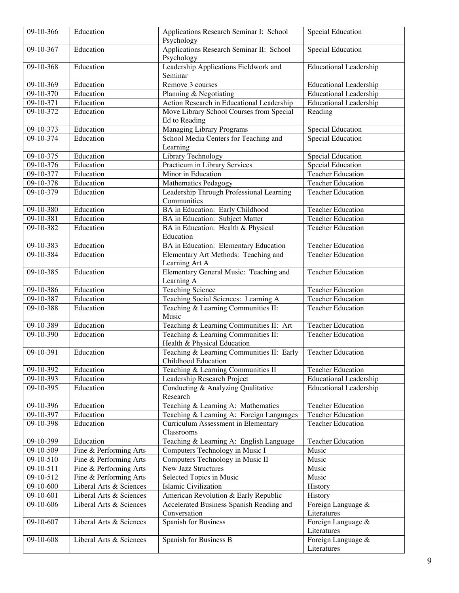| $09-10-366$                | Education                                         | Applications Research Seminar I: School<br>Psychology                   | <b>Special Education</b>                                       |
|----------------------------|---------------------------------------------------|-------------------------------------------------------------------------|----------------------------------------------------------------|
| $09-10-367$                | Education                                         | <b>Applications Research Seminar II: School</b>                         | <b>Special Education</b>                                       |
|                            |                                                   | Psychology                                                              |                                                                |
| $09-10-368$                | Education                                         | Leadership Applications Fieldwork and                                   | <b>Educational Leadership</b>                                  |
|                            |                                                   | Seminar                                                                 |                                                                |
| $09-10-369$                | Education                                         | Remove 3 courses                                                        | <b>Educational Leadership</b>                                  |
| $09-10-370$                | Education                                         | Planning & Negotiating                                                  | <b>Educational Leadership</b>                                  |
| $09-10-371$                | Education                                         | Action Research in Educational Leadership                               | <b>Educational Leadership</b>                                  |
| 09-10-372                  | Education                                         | Move Library School Courses from Special                                | Reading                                                        |
|                            |                                                   | Ed to Reading                                                           |                                                                |
| 09-10-373                  | Education                                         | Managing Library Programs                                               | <b>Special Education</b>                                       |
| 09-10-374                  | Education                                         | School Media Centers for Teaching and                                   | Special Education                                              |
|                            |                                                   | Learning                                                                |                                                                |
| 09-10-375<br>$09-10-376$   | Education<br>Education                            | <b>Library Technology</b>                                               | <b>Special Education</b>                                       |
| 09-10-377                  | Education                                         | Practicum in Library Services<br>Minor in Education                     | <b>Special Education</b><br><b>Teacher Education</b>           |
| 09-10-378                  | Education                                         |                                                                         | <b>Teacher Education</b>                                       |
| 09-10-379                  | Education                                         | <b>Mathematics Pedagogy</b><br>Leadership Through Professional Learning | <b>Teacher Education</b>                                       |
|                            |                                                   | Communities                                                             |                                                                |
| 09-10-380                  | Education                                         | BA in Education: Early Childhood                                        | <b>Teacher Education</b>                                       |
| 09-10-381                  | Education                                         | BA in Education: Subject Matter                                         | <b>Teacher Education</b>                                       |
| $09-10-382$                | Education                                         | BA in Education: Health & Physical                                      | <b>Teacher Education</b>                                       |
|                            |                                                   | Education                                                               |                                                                |
| 09-10-383                  | Education                                         | BA in Education: Elementary Education                                   | <b>Teacher Education</b>                                       |
| $09-10-384$                | Education                                         | Elementary Art Methods: Teaching and<br>Learning Art A                  | <b>Teacher Education</b>                                       |
| 09-10-385                  | Education                                         | Elementary General Music: Teaching and                                  | <b>Teacher Education</b>                                       |
|                            |                                                   | Learning A                                                              |                                                                |
| 09-10-386                  | Education                                         | <b>Teaching Science</b>                                                 | <b>Teacher Education</b>                                       |
| 09-10-387                  | Education                                         | Teaching Social Sciences: Learning A                                    | <b>Teacher Education</b>                                       |
| $09-10-388$                | Education                                         | Teaching & Learning Communities II:                                     | <b>Teacher Education</b>                                       |
|                            |                                                   | Music                                                                   |                                                                |
| 09-10-389                  | Education                                         | Teaching & Learning Communities II: Art                                 | <b>Teacher Education</b>                                       |
| $09-10-390$                | Education                                         | Teaching & Learning Communities II:                                     | <b>Teacher Education</b>                                       |
|                            |                                                   | Health & Physical Education                                             |                                                                |
| 09-10-391                  | Education                                         | Teaching & Learning Communities II: Early                               | <b>Teacher Education</b>                                       |
|                            |                                                   | Childhood Education                                                     |                                                                |
| 09-10-392                  | Education                                         | Teaching & Learning Communities II                                      | <b>Teacher Education</b>                                       |
| 09-10-393<br>09-10-395     | Education<br>Education                            | Leadership Research Project<br>Conducting & Analyzing Qualitative       | <b>Educational Leadership</b><br><b>Educational Leadership</b> |
|                            |                                                   | Research                                                                |                                                                |
| 09-10-396                  | Education                                         | Teaching & Learning A: Mathematics                                      | <b>Teacher Education</b>                                       |
| 09-10-397                  | Education                                         | Teaching & Learning A: Foreign Languages                                | <b>Teacher Education</b>                                       |
| 09-10-398                  | Education                                         | Curriculum Assessment in Elementary                                     | <b>Teacher Education</b>                                       |
|                            |                                                   | Classrooms                                                              |                                                                |
| 09-10-399                  | Education                                         | Teaching & Learning A: English Language                                 | <b>Teacher Education</b>                                       |
| 09-10-509                  | Fine & Performing Arts                            | Computers Technology in Music I                                         | Music                                                          |
| 09-10-510                  | Fine & Performing Arts                            | Computers Technology in Music II                                        | Music                                                          |
| 09-10-511                  | Fine & Performing Arts                            | <b>New Jazz Structures</b>                                              | Music                                                          |
| $09-10-512$<br>$09-10-600$ | Fine & Performing Arts<br>Liberal Arts & Sciences | Selected Topics in Music<br>Islamic Civilization                        | Music<br>History                                               |
| 09-10-601                  | Liberal Arts & Sciences                           | American Revolution & Early Republic                                    | History                                                        |
| 09-10-606                  | Liberal Arts & Sciences                           | Accelerated Business Spanish Reading and                                | Foreign Language &                                             |
|                            |                                                   | Conversation                                                            | Literatures                                                    |
| 09-10-607                  | Liberal Arts & Sciences                           | Spanish for Business                                                    | Foreign Language &                                             |
|                            |                                                   |                                                                         | Literatures                                                    |
| 09-10-608                  | Liberal Arts & Sciences                           | Spanish for Business B                                                  | Foreign Language &                                             |
|                            |                                                   |                                                                         | Literatures                                                    |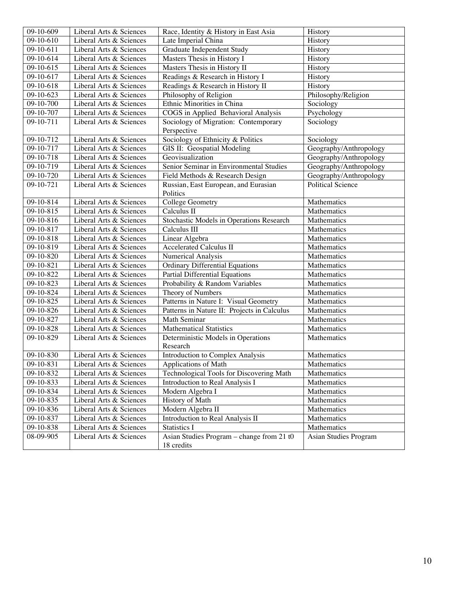| 09-10-609   | Liberal Arts & Sciences | Race, Identity & History in East Asia                   | History                  |
|-------------|-------------------------|---------------------------------------------------------|--------------------------|
| 09-10-610   | Liberal Arts & Sciences | Late Imperial China                                     | History                  |
| 09-10-611   | Liberal Arts & Sciences | Graduate Independent Study                              | History                  |
| 09-10-614   | Liberal Arts & Sciences | Masters Thesis in History I                             | History                  |
| 09-10-615   | Liberal Arts & Sciences | Masters Thesis in History II                            | History                  |
| 09-10-617   | Liberal Arts & Sciences | Readings & Research in History I                        | History                  |
| 09-10-618   | Liberal Arts & Sciences | Readings & Research in History II                       | History                  |
| 09-10-623   | Liberal Arts & Sciences | Philosophy of Religion                                  | Philosophy/Religion      |
| 09-10-700   | Liberal Arts & Sciences | Ethnic Minorities in China                              | Sociology                |
| 09-10-707   | Liberal Arts & Sciences | COGS in Applied Behavioral Analysis                     | Psychology               |
| 09-10-711   | Liberal Arts & Sciences | Sociology of Migration: Contemporary<br>Perspective     | Sociology                |
| 09-10-712   | Liberal Arts & Sciences | Sociology of Ethnicity & Politics                       | Sociology                |
| 09-10-717   | Liberal Arts & Sciences | GIS II: Geospatial Modeling                             | Geography/Anthropology   |
| 09-10-718   | Liberal Arts & Sciences | Geovisualization                                        | Geography/Anthropology   |
| 09-10-719   | Liberal Arts & Sciences | Senior Seminar in Environmental Studies                 | Geography/Anthropology   |
| 09-10-720   | Liberal Arts & Sciences | Field Methods & Research Design                         | Geography/Anthropology   |
| 09-10-721   | Liberal Arts & Sciences | Russian, East European, and Eurasian<br>Politics        | <b>Political Science</b> |
| 09-10-814   | Liberal Arts & Sciences | <b>College Geometry</b>                                 | Mathematics              |
| 09-10-815   | Liberal Arts & Sciences | Calculus II                                             | Mathematics              |
| 09-10-816   | Liberal Arts & Sciences | Stochastic Models in Operations Research                | Mathematics              |
| 09-10-817   | Liberal Arts & Sciences | Calculus III                                            | Mathematics              |
| 09-10-818   | Liberal Arts & Sciences | Linear Algebra                                          | Mathematics              |
| 09-10-819   | Liberal Arts & Sciences | <b>Accelerated Calculus II</b>                          | Mathematics              |
| 09-10-820   | Liberal Arts & Sciences | Numerical Analysis                                      | Mathematics              |
| 09-10-821   | Liberal Arts & Sciences | <b>Ordinary Differential Equations</b>                  | Mathematics              |
| 09-10-822   | Liberal Arts & Sciences | Partial Differential Equations                          | Mathematics              |
| 09-10-823   | Liberal Arts & Sciences | Probability & Random Variables                          | Mathematics              |
| 09-10-824   | Liberal Arts & Sciences | Theory of Numbers                                       | Mathematics              |
| 09-10-825   | Liberal Arts & Sciences | Patterns in Nature I: Visual Geometry                   | Mathematics              |
| 09-10-826   | Liberal Arts & Sciences | Patterns in Nature II: Projects in Calculus             | Mathematics              |
| 09-10-827   | Liberal Arts & Sciences | Math Seminar                                            | Mathematics              |
| 09-10-828   | Liberal Arts & Sciences | <b>Mathematical Statistics</b>                          | Mathematics              |
| 09-10-829   | Liberal Arts & Sciences | Deterministic Models in Operations<br>Research          | Mathematics              |
| 09-10-830   | Liberal Arts & Sciences | Introduction to Complex Analysis                        | Mathematics              |
| $09-10-831$ | Liberal Arts & Sciences | Applications of Math                                    | Mathematics              |
| 09-10-832   | Liberal Arts & Sciences | Technological Tools for Discovering Math                | Mathematics              |
| 09-10-833   | Liberal Arts & Sciences | Introduction to Real Analysis I                         | Mathematics              |
| 09-10-834   | Liberal Arts & Sciences | Modern Algebra I                                        | Mathematics              |
| 09-10-835   | Liberal Arts & Sciences | History of Math                                         | Mathematics              |
| 09-10-836   | Liberal Arts & Sciences | Modern Algebra II                                       | Mathematics              |
| 09-10-837   | Liberal Arts & Sciences | Introduction to Real Analysis II                        | Mathematics              |
| 09-10-838   | Liberal Arts & Sciences | <b>Statistics I</b>                                     | Mathematics              |
| 08-09-905   | Liberal Arts & Sciences | Asian Studies Program - change from 21 t0<br>18 credits | Asian Studies Program    |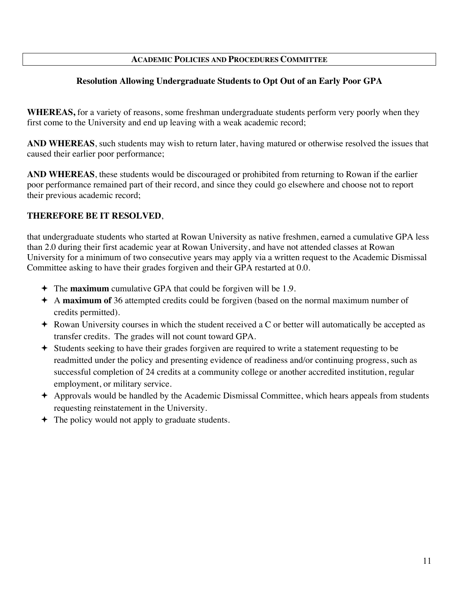# **ACADEMIC POLICIES AND PROCEDURES COMMITTEE**

# **Resolution Allowing Undergraduate Students to Opt Out of an Early Poor GPA**

**WHEREAS,** for a variety of reasons, some freshman undergraduate students perform very poorly when they first come to the University and end up leaving with a weak academic record;

**AND WHEREAS**, such students may wish to return later, having matured or otherwise resolved the issues that caused their earlier poor performance;

**AND WHEREAS**, these students would be discouraged or prohibited from returning to Rowan if the earlier poor performance remained part of their record, and since they could go elsewhere and choose not to report their previous academic record;

# **THEREFORE BE IT RESOLVED**,

that undergraduate students who started at Rowan University as native freshmen, earned a cumulative GPA less than 2.0 during their first academic year at Rowan University, and have not attended classes at Rowan University for a minimum of two consecutive years may apply via a written request to the Academic Dismissal Committee asking to have their grades forgiven and their GPA restarted at 0.0.

- The **maximum** cumulative GPA that could be forgiven will be 1.9.
- A **maximum of** 36 attempted credits could be forgiven (based on the normal maximum number of credits permitted).
- Rowan University courses in which the student received a C or better will automatically be accepted as transfer credits. The grades will not count toward GPA.
- Students seeking to have their grades forgiven are required to write a statement requesting to be readmitted under the policy and presenting evidence of readiness and/or continuing progress, such as successful completion of 24 credits at a community college or another accredited institution, regular employment, or military service.
- Approvals would be handled by the Academic Dismissal Committee, which hears appeals from students requesting reinstatement in the University.
- $\div$  The policy would not apply to graduate students.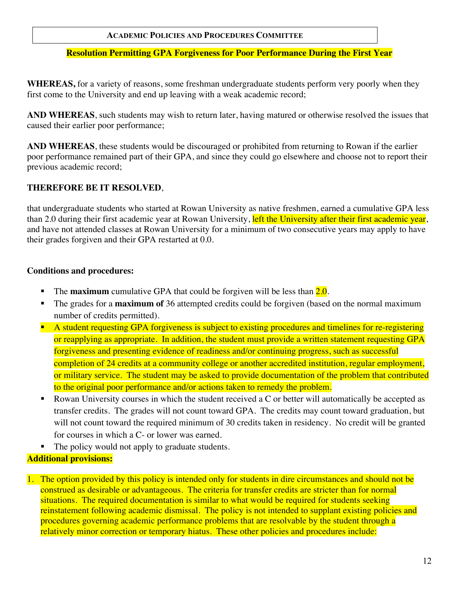# **ACADEMIC POLICIES AND PROCEDURES COMMITTEE**

# **Resolution Permitting GPA Forgiveness for Poor Performance During the First Year**

**WHEREAS,** for a variety of reasons, some freshman undergraduate students perform very poorly when they first come to the University and end up leaving with a weak academic record;

**AND WHEREAS**, such students may wish to return later, having matured or otherwise resolved the issues that caused their earlier poor performance;

**AND WHEREAS**, these students would be discouraged or prohibited from returning to Rowan if the earlier poor performance remained part of their GPA, and since they could go elsewhere and choose not to report their previous academic record;

# **THEREFORE BE IT RESOLVED**,

that undergraduate students who started at Rowan University as native freshmen, earned a cumulative GPA less than 2.0 during their first academic year at Rowan University, left the University after their first academic year, and have not attended classes at Rowan University for a minimum of two consecutive years may apply to have their grades forgiven and their GPA restarted at 0.0.

### **Conditions and procedures:**

- The **maximum** cumulative GPA that could be forgiven will be less than  $2.0$ .
- The grades for a **maximum of** 36 attempted credits could be forgiven (based on the normal maximum number of credits permitted).
- A student requesting GPA forgiveness is subject to existing procedures and timelines for re-registering or reapplying as appropriate. In addition, the student must provide a written statement requesting GPA forgiveness and presenting evidence of readiness and/or continuing progress, such as successful completion of 24 credits at a community college or another accredited institution, regular employment, or military service. The student may be asked to provide documentation of the problem that contributed to the original poor performance and/or actions taken to remedy the problem.
- Rowan University courses in which the student received a C or better will automatically be accepted as transfer credits. The grades will not count toward GPA. The credits may count toward graduation, but will not count toward the required minimum of 30 credits taken in residency. No credit will be granted for courses in which a C- or lower was earned.
- The policy would not apply to graduate students.

# **Additional provisions:**

1. The option provided by this policy is intended only for students in dire circumstances and should not be construed as desirable or advantageous. The criteria for transfer credits are stricter than for normal situations. The required documentation is similar to what would be required for students seeking reinstatement following academic dismissal. The policy is not intended to supplant existing policies and procedures governing academic performance problems that are resolvable by the student through a relatively minor correction or temporary hiatus. These other policies and procedures include: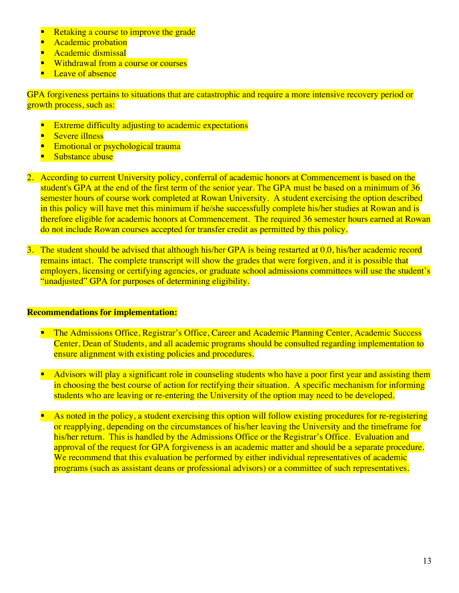- Retaking a course to improve the grade
- Academic probation
- Academic dismissal
- Withdrawal from a course or courses
- Leave of absence

GPA forgiveness pertains to situations that are catastrophic and require a more intensive recovery period or growth process, such as:

- Extreme difficulty adjusting to academic expectations
- Severe illness
- Emotional or psychological trauma
- Substance abuse
- 2. According to current University policy, conferral of academic honors at Commencement is based on the student's GPA at the end of the first term of the senior year. The GPA must be based on a minimum of 36 semester hours of course work completed at Rowan University. A student exercising the option described in this policy will have met this minimum if he/she successfully complete his/her studies at Rowan and is therefore eligible for academic honors at Commencement. The required 36 semester hours earned at Rowan do not include Rowan courses accepted for transfer credit as permitted by this policy.
- 3. The student should be advised that although his/her GPA is being restarted at 0.0, his/her academic record remains intact. The complete transcript will show the grades that were forgiven, and it is possible that employers, licensing or certifying agencies, or graduate school admissions committees will use the student's "unadjusted" GPA for purposes of determining eligibility.

### **Recommendations for implementation:**

- The Admissions Office, Registrar's Office, Career and Academic Planning Center, Academic Success Center, Dean of Students, and all academic programs should be consulted regarding implementation to ensure alignment with existing policies and procedures.
- Advisors will play a significant role in counseling students who have a poor first year and assisting them in choosing the best course of action for rectifying their situation. A specific mechanism for informing students who are leaving or re-entering the University of the option may need to be developed.
- As noted in the policy, a student exercising this option will follow existing procedures for re-registering or reapplying, depending on the circumstances of his/her leaving the University and the timeframe for his/her return. This is handled by the Admissions Office or the Registrar's Office. Evaluation and approval of the request for GPA forgiveness is an academic matter and should be a separate procedure. We recommend that this evaluation be performed by either individual representatives of academic programs (such as assistant deans or professional advisors) or a committee of such representatives.